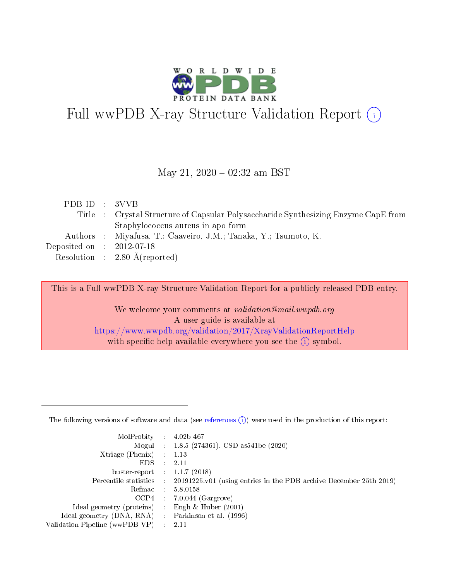

# Full wwPDB X-ray Structure Validation Report (i)

#### May 21,  $2020 - 02:32$  am BST

| PDB ID : 3VVB               |                                                                                    |
|-----------------------------|------------------------------------------------------------------------------------|
|                             | Title : Crystal Structure of Capsular Polysaccharide Synthesizing Enzyme CapE from |
|                             | Staphylococcus aureus in apo form                                                  |
|                             | Authors : Miyafusa, T.; Caaveiro, J.M.; Tanaka, Y.; Tsumoto, K.                    |
| Deposited on : $2012-07-18$ |                                                                                    |
|                             | Resolution : $2.80 \text{ Å}$ (reported)                                           |

This is a Full wwPDB X-ray Structure Validation Report for a publicly released PDB entry.

We welcome your comments at validation@mail.wwpdb.org A user guide is available at <https://www.wwpdb.org/validation/2017/XrayValidationReportHelp> with specific help available everywhere you see the  $(i)$  symbol.

The following versions of software and data (see [references](https://www.wwpdb.org/validation/2017/XrayValidationReportHelp#references)  $(1)$ ) were used in the production of this report:

| MolProbity                     | $\mathcal{L}_{\rm{max}}$ | $4.02b - 467$                                                                |
|--------------------------------|--------------------------|------------------------------------------------------------------------------|
|                                |                          | Mogul : $1.8.5$ (274361), CSD as 541be (2020)                                |
| $X$ triage (Phenix) :          |                          | 1.13                                                                         |
| EDS.                           |                          | 2.11                                                                         |
| buster-report : $1.1.7$ (2018) |                          |                                                                              |
| Percentile statistics :        |                          | $20191225 \text{ v}01$ (using entries in the PDB archive December 25th 2019) |
| Refmac                         |                          | 5.8.0158                                                                     |
| $CCP4$ :                       |                          | $7.0.044$ (Gargrove)                                                         |
| Ideal geometry (proteins) :    |                          | Engh $\&$ Huber (2001)                                                       |
| Ideal geometry (DNA, RNA) :    |                          | Parkinson et al. (1996)                                                      |
| Validation Pipeline (wwPDB-VP) | $\mathcal{L}$            | -2.11                                                                        |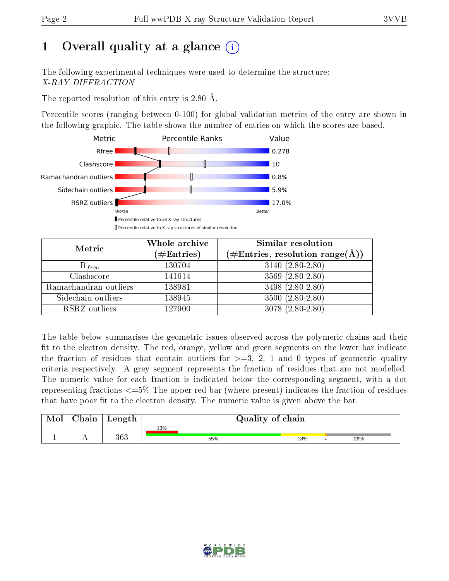# 1 [O](https://www.wwpdb.org/validation/2017/XrayValidationReportHelp#overall_quality)verall quality at a glance  $(i)$

The following experimental techniques were used to determine the structure: X-RAY DIFFRACTION

The reported resolution of this entry is 2.80 Å.

Percentile scores (ranging between 0-100) for global validation metrics of the entry are shown in the following graphic. The table shows the number of entries on which the scores are based.



| Metric                | Whole archive<br>$(\#\text{Entries})$ | Similar resolution<br>(#Entries, resolution range(Å)) |
|-----------------------|---------------------------------------|-------------------------------------------------------|
| $R_{free}$            | 130704                                | $3140 (2.80 - 2.80)$                                  |
| Clashscore            | 141614                                | $3569(2.80-2.80)$                                     |
| Ramachandran outliers | 138981                                | 3498 (2.80-2.80)                                      |
| Sidechain outliers    | 138945                                | $3500(2.80-2.80)$                                     |
| RSRZ outliers         | 127900                                | $3078(2.80-2.80)$                                     |

The table below summarises the geometric issues observed across the polymeric chains and their fit to the electron density. The red, orange, yellow and green segments on the lower bar indicate the fraction of residues that contain outliers for  $>=3, 2, 1$  and 0 types of geometric quality criteria respectively. A grey segment represents the fraction of residues that are not modelled. The numeric value for each fraction is indicated below the corresponding segment, with a dot representing fractions  $\epsilon=5\%$  The upper red bar (where present) indicates the fraction of residues that have poor fit to the electron density. The numeric value is given above the bar.

| Mol | ${\bf Chain}$ | Length |     | Quality of chain |     |  |     |  |
|-----|---------------|--------|-----|------------------|-----|--|-----|--|
|     |               |        | 13% |                  |     |  |     |  |
|     |               | 363    |     | 55%              | 18% |  | 26% |  |

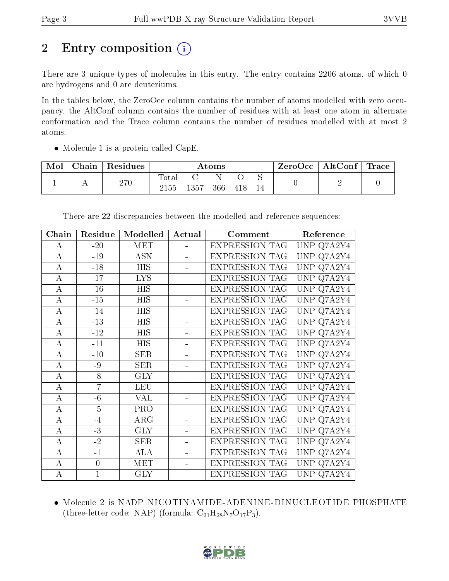# 2 Entry composition (i)

There are 3 unique types of molecules in this entry. The entry contains 2206 atoms, of which 0 are hydrogens and 0 are deuteriums.

In the tables below, the ZeroOcc column contains the number of atoms modelled with zero occupancy, the AltConf column contains the number of residues with at least one atom in alternate conformation and the Trace column contains the number of residues modelled with at most 2 atoms.

• Molecule 1 is a protein called CapE.

| Mol | Chain | Residues | Atoms                  |      |     |     | $\mid$ ZeroOcc $\mid$ AltConf $\mid$ Trace |  |  |
|-----|-------|----------|------------------------|------|-----|-----|--------------------------------------------|--|--|
|     |       | 270      | $\text{Total}$<br>2155 | 1357 | 366 | 418 |                                            |  |  |

There are 22 discrepancies between the modelled and reference sequences:

| Chain          | Residue          | Modelled         | Actual                   | Comment               | Reference                         |
|----------------|------------------|------------------|--------------------------|-----------------------|-----------------------------------|
| A              | $-20$            | <b>MET</b>       | L,                       | <b>EXPRESSION TAG</b> | UNP<br>Q7A2Y4                     |
| $\bf{A}$       | $-19$            | <b>ASN</b>       | $\overline{\phantom{0}}$ | <b>EXPRESSION TAG</b> | UNP<br>Q7A2Y4                     |
| $\bf{A}$       | $-18$            | <b>HIS</b>       |                          | <b>EXPRESSION TAG</b> | UNP<br>Q7A2Y4                     |
| $\bf{A}$       | $-17$            | <b>LYS</b>       | L,                       | <b>EXPRESSION TAG</b> | <b>UNP</b><br>Q7A2Y4              |
| $\bf{A}$       | $-16$            | $\overline{HIS}$ |                          | <b>EXPRESSION TAG</b> | UNP<br>Q7A2Y4                     |
| $\bf{A}$       | $-15$            | <b>HIS</b>       | $\equiv$                 | <b>EXPRESSION TAG</b> | UNP Q7A2Y4                        |
| $\bf{A}$       | $-14$            | <b>HIS</b>       | $\overline{a}$           | <b>EXPRESSION TAG</b> | Q7A2Y4<br>UNP                     |
| $\bf{A}$       | $-13$            | <b>HIS</b>       |                          | <b>EXPRESSION TAG</b> | UNP<br>Q7A2Y4                     |
| $\bf{A}$       | $-12$            | <b>HIS</b>       | $\blacksquare$           | <b>EXPRESSION TAG</b> | UNP<br>Q7A2Y4                     |
| $\overline{A}$ | $-11$            | $\overline{HIS}$ |                          | <b>EXPRESSION TAG</b> | <b>UNP</b><br>Q7A2Y4              |
| $\bf{A}$       | $-10$            | <b>SER</b>       | $\overline{a}$           | <b>EXPRESSION TAG</b> | UNP Q7A2Y4                        |
| $\bf{A}$       | $-9$             | <b>SER</b>       |                          | <b>EXPRESSION TAG</b> | <b>UNP</b><br>Q7A2Y4              |
| $\bf{A}$       | $-8$             | <b>GLY</b>       |                          | <b>EXPRESSION TAG</b> | <b>UNP</b><br>Q7A2Y4              |
| $\bf{A}$       | $-7$             | <b>LEU</b>       | L,                       | <b>EXPRESSION TAG</b> | UNP Q7A2Y4                        |
| $\bf{A}$       | $-6$             | <b>VAL</b>       | $\equiv$                 | <b>EXPRESSION TAG</b> | UNP<br>Q7A2Y4                     |
| $\bf{A}$       | $-5$             | <b>PRO</b>       |                          | <b>EXPRESSION TAG</b> | UNP<br>Q7A2Y4                     |
| $\bf{A}$       | $-4$             | ARG              | $\blacksquare$           | <b>EXPRESSION TAG</b> | <b>UNP</b><br>$Q7A2\overline{Y4}$ |
| $\bf{A}$       | $-3$             | <b>GLY</b>       |                          | <b>EXPRESSION TAG</b> | <b>UNP</b><br>Q7A2Y4              |
| $\bf{A}$       | $-2$             | <b>SER</b>       |                          | <b>EXPRESSION TAG</b> | UNP<br>Q7A2Y4                     |
| A              | $-1$             | <b>ALA</b>       | $\overline{a}$           | <b>EXPRESSION TAG</b> | <b>UNP</b><br>Q7A2Y4              |
| $\bf{A}$       | $\boldsymbol{0}$ | MET              | $\blacksquare$           | <b>EXPRESSION TAG</b> | UNP<br>Q7A2Y4                     |
| $\bf{A}$       | $\overline{1}$   | <b>GLY</b>       |                          | <b>EXPRESSION TAG</b> | UNP Q7A2Y4                        |

 Molecule 2 is NADP NICOTINAMIDE-ADENINE-DINUCLEOTIDE PHOSPHATE (three-letter code: NAP) (formula:  $C_{21}H_{28}N_7O_{17}P_3$ ).

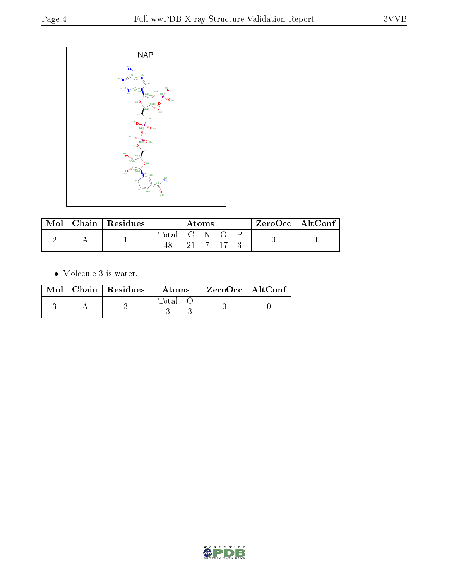

|  | $Chain   Residues$ | Atoms       |  |  | ZeroOcc   AltConf |  |  |  |
|--|--------------------|-------------|--|--|-------------------|--|--|--|
|  |                    | Total C N O |  |  |                   |  |  |  |
|  |                    |             |  |  | 21 7 17 3         |  |  |  |

 $\bullet\,$  Molecule 3 is water.

|  | $Mol$   Chain   Residues | Atoms | $^{\shortmid}$ ZeroOcc $\mid$ AltConf $\mid$ |  |
|--|--------------------------|-------|----------------------------------------------|--|
|  |                          | Total |                                              |  |

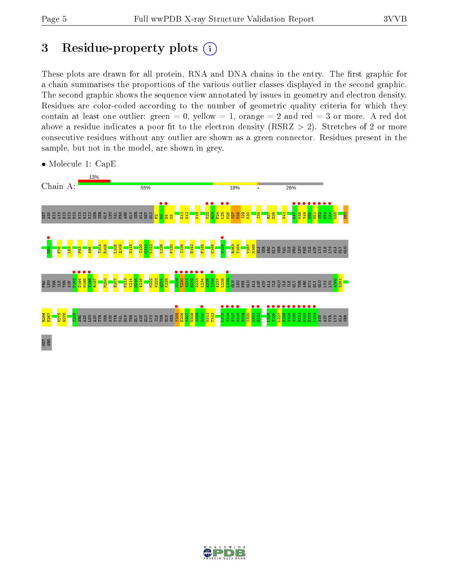## 3 Residue-property plots  $(i)$

These plots are drawn for all protein, RNA and DNA chains in the entry. The first graphic for a chain summarises the proportions of the various outlier classes displayed in the second graphic. The second graphic shows the sequence view annotated by issues in geometry and electron density. Residues are color-coded according to the number of geometric quality criteria for which they contain at least one outlier: green  $= 0$ , yellow  $= 1$ , orange  $= 2$  and red  $= 3$  or more. A red dot above a residue indicates a poor fit to the electron density (RSRZ  $> 2$ ). Stretches of 2 or more consecutive residues without any outlier are shown as a green connector. Residues present in the sample, but not in the model, are shown in grey.



• Molecule 1: CapE

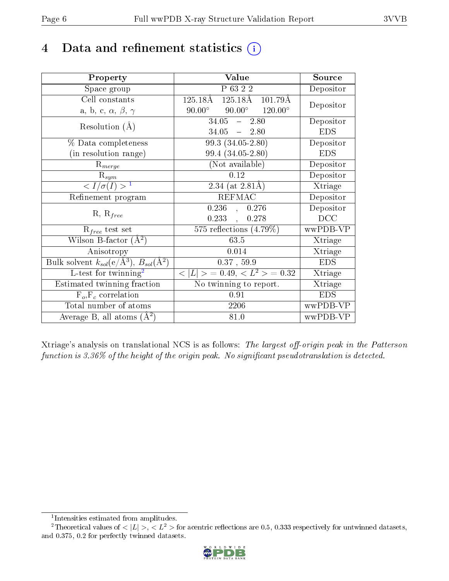## 4 Data and refinement statistics  $(i)$

| Property                                                             | Value                                               | Source     |
|----------------------------------------------------------------------|-----------------------------------------------------|------------|
| Space group                                                          | P 63 2 2                                            | Depositor  |
| Cell constants                                                       | $125.18\text{\AA}$<br>$101.79\text{\AA}$<br>125.18Å | Depositor  |
| a, b, c, $\alpha$ , $\beta$ , $\gamma$                               | $90.00^{\circ}$ $120.00^{\circ}$<br>$90.00^\circ$   |            |
| Resolution $(A)$                                                     | $34.05 - 2.80$                                      | Depositor  |
|                                                                      | $34.05 - 2.80$                                      | <b>EDS</b> |
| % Data completeness                                                  | 99.3 (34.05-2.80)                                   | Depositor  |
| (in resolution range)                                                | 99.4 (34.05-2.80)                                   | <b>EDS</b> |
| $R_{merge}$                                                          | (Not available)                                     | Depositor  |
| $\mathbf{R}_{sym}$                                                   | 0.12                                                | Depositor  |
| $\sqrt{I/\sigma}(I) > 1$                                             | 2.34 (at $2.81\text{\AA}$ )                         | Xtriage    |
| Refinement program                                                   | <b>REFMAC</b>                                       | Depositor  |
| $R, R_{free}$                                                        | $0.236$ , $0.276$                                   | Depositor  |
|                                                                      | 0.233<br>0.278                                      | DCC        |
| $R_{free}$ test set                                                  | 575 reflections $(4.79\%)$                          | wwPDB-VP   |
| Wilson B-factor $(A^2)$                                              | 63.5                                                | Xtriage    |
| Anisotropy                                                           | 0.014                                               | Xtriage    |
| Bulk solvent $k_{sol}(e/\mathring{A}^3)$ , $B_{sol}(\mathring{A}^2)$ | 0.37, 59.9                                          | <b>EDS</b> |
| L-test for twinning <sup>2</sup>                                     | $< L >$ = 0.49, $< L2$ > = 0.32                     | Xtriage    |
| Estimated twinning fraction                                          | No twinning to report.                              | Xtriage    |
| $F_o, F_c$ correlation                                               | 0.91                                                | <b>EDS</b> |
| Total number of atoms                                                | 2206                                                | wwPDB-VP   |
| Average B, all atoms $(A^2)$                                         | 81.0                                                | wwPDB-VP   |

Xtriage's analysis on translational NCS is as follows: The largest off-origin peak in the Patterson function is  $3.36\%$  of the height of the origin peak. No significant pseudotranslation is detected.

<sup>&</sup>lt;sup>2</sup>Theoretical values of  $\langle |L| \rangle$ ,  $\langle L^2 \rangle$  for acentric reflections are 0.5, 0.333 respectively for untwinned datasets, and 0.375, 0.2 for perfectly twinned datasets.



<span id="page-5-1"></span><span id="page-5-0"></span><sup>1</sup> Intensities estimated from amplitudes.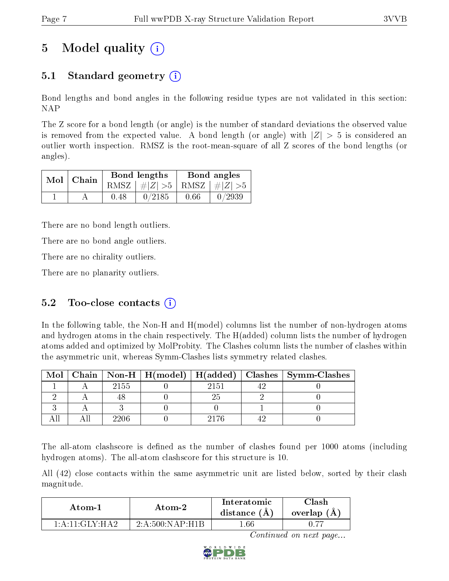# 5 Model quality  $(i)$

### 5.1 Standard geometry  $\overline{()}$

Bond lengths and bond angles in the following residue types are not validated in this section: NAP

The Z score for a bond length (or angle) is the number of standard deviations the observed value is removed from the expected value. A bond length (or angle) with  $|Z| > 5$  is considered an outlier worth inspection. RMSZ is the root-mean-square of all Z scores of the bond lengths (or angles).

| $Mol$   Chain |      | Bond lengths                    | Bond angles |        |  |
|---------------|------|---------------------------------|-------------|--------|--|
|               |      | RMSZ $ #Z  > 5$ RMSZ $ #Z  > 5$ |             |        |  |
|               | 0.48 | 0/2185                          | 0.66        | 0/2939 |  |

There are no bond length outliers.

There are no bond angle outliers.

There are no chirality outliers.

There are no planarity outliers.

### 5.2 Too-close contacts  $(i)$

In the following table, the Non-H and H(model) columns list the number of non-hydrogen atoms and hydrogen atoms in the chain respectively. The H(added) column lists the number of hydrogen atoms added and optimized by MolProbity. The Clashes column lists the number of clashes within the asymmetric unit, whereas Symm-Clashes lists symmetry related clashes.

| . Mol $\perp$ |      |      | Chain   Non-H   H(model)   H(added)   Clashes   Symm-Clashes |
|---------------|------|------|--------------------------------------------------------------|
|               | 2155 | 2151 |                                                              |
|               |      |      |                                                              |
|               |      |      |                                                              |
|               |      | 2176 |                                                              |

The all-atom clashscore is defined as the number of clashes found per 1000 atoms (including hydrogen atoms). The all-atom clashscore for this structure is 10.

All (42) close contacts within the same asymmetric unit are listed below, sorted by their clash magnitude.

| Atom-1                                          | Atom-2             | Interatomic<br>distance $(A)$ | ∩lash<br>overlap $(A)$ |
|-------------------------------------------------|--------------------|-------------------------------|------------------------|
| $1 \cdot A \cdot 11 \cdot GIN \cdot H \Delta$ ? | 2: A:500: NAP: H1B | .66                           |                        |

Continued on next page...

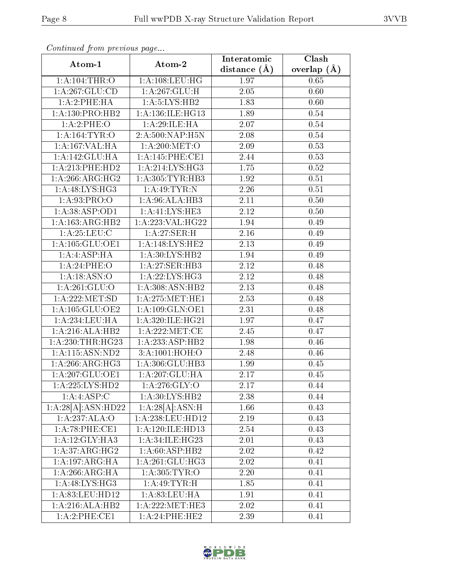| Continually from providuo pugo     |                      | Interatomic    | Clash         |
|------------------------------------|----------------------|----------------|---------------|
| Atom-1                             | Atom-2               | distance $(A)$ | overlap $(A)$ |
| 1: A: 104:THR:O                    | 1: A: 108: LEU: HG   | 1.97           | 0.65          |
| 1:A:267:GLU:CD                     | 1:A:267:GLU:H        | 2.05           | 0.60          |
| 1:A:2:PHE:HA                       | 1: A: 5: LYS: HB2    | 1.83           | 0.60          |
| 1: A: 130: PRO: HB2                | 1: A: 136: ILE: HG13 | 1.89           | 0.54          |
| 1:A:2:PHE:O                        | 1:A:29:ILE:HA        | 2.07           | 0.54          |
| 1: A: 164: TYR: O                  | 2:A:500:NAP:H5N      | 2.08           | $0.54\,$      |
| 1:A:167:VAL:HA                     | 1: A:200:MET:O       | 2.09           | 0.53          |
| 1:A:142:GLU:HA                     | 1: A:145: PHE:CE1    | 2.44           | 0.53          |
| 1: A: 213: PHE: HD2                | 1: A:214: LYS: HG3   | 1.75           | 0.52          |
| 1: A:266: ARG: HG2                 | 1: A: 305: TYR: HB3  | 1.92           | 0.51          |
| 1: A:48: LYS: HG3                  | 1:A:49:TYR:N         | 2.26           | 0.51          |
| 1: A:93: PRO:O                     | 1:A:96:ALA:HB3       | 2.11           | 0.50          |
| 1:A:38:ASP:OD1                     | 1:A:41:LYS:HE3       | 2.12           | 0.50          |
| 1:A:163:ARG:HB2                    | 1:A:223:VAL:HG22     | 1.94           | 0.49          |
| 1: A:25:LEU:C                      | 1:A:27:SER:H         | 2.16           | 0.49          |
| 1: A: 105: GLU: OE1                | 1: A:148: LYS: HE2   | 2.13           | 0.49          |
| $1:A:ASP:H$ A                      | 1:A:30:LYS:HB2       | 1.94           | 0.49          |
| 1: A:24:PHE:O                      | 1:A:27:SER:HB3       | 2.12           | 0.48          |
| 1: A: 18: ASN: O                   | 1: A:22: LYS: HG3    | 2.12           | 0.48          |
| 1:A:261:GLU:O                      | 1:A:308:ASN:HB2      | 2.13           | 0.48          |
| 1: A: 222: MET: SD                 | 1: A:275:MET:HE1     | 2.53           | 0.48          |
| 1: A: 105: GLU: OE2                | 1: A: 109: GLN: OE1  | 2.31           | 0.48          |
| 1: A:234:LEU:HA                    | 1:A:320:ILE:HG21     | 1.97           | 0.47          |
| 1:A:216:ALA:HB2                    | 1: A:222: MET:CE     | 2.45           | 0.47          |
| 1:A:230:THR:HG23                   | 1:A:233:ASP:HB2      | 1.98           | 0.46          |
| $1:$ A:115:ASN:ND2                 | 3:A:1001:HOH:O       | 2.48           | 0.46          |
| 1: A:266: ARG: HG3                 | 1:A:306:GLU:HB3      | 1.99           | 0.45          |
| 1: A: 207: GLU: OE1                | 1:A:207:GLU:HA       | 2.17           | 0.45          |
| 1: A: 225: LYS: HD2                | 1:A:276:GLY:O        | 2.17           | 0.44          |
| 1:A:4:ASP:C                        | 1:A:30:LYS:HB2       | 2.38           | 0.44          |
| 1:A:28[A]:ASN:HD22                 | 1:A:28[A]:ASN:H      | 1.66           | 0.43          |
| 1:A:237:ALA:O                      | 1:A:238:LEU:HD12     | 2.19           | 0.43          |
| 1: A:78:PHE:CE1                    | 1:A:120:ILE:HD13     | 2.54           | 0.43          |
| 1:A:12:GLY:HA3                     | 1:A:34:ILE:HG23      | 2.01           | 0.43          |
| 1: A:37: ARG: HG2                  | 1: A:60: ASP:HB2     | 2.02           | 0.42          |
| $1:A:197:\overline{\text{ARG:HA}}$ | 1:A:261:GLU:HG3      | 2.02           | 0.41          |
| 1:A:266:ARG:HA                     | 1: A:305: TYR: O     | 2.20           | 0.41          |
| 1:A:48:LYS:HG3                     | 1: A:49: TYR:H       | 1.85           | 0.41          |
| 1: A:83: LEU: HD12                 | 1: A:83:LEU:HA       | 1.91           | 0.41          |
| 1:A:216:ALA:HB2                    | 1: A:222: MET:HE3    | 2.02           | 0.41          |
| 1:A:2:PHE:CE1                      | 1: A:24:PHE:HE2      | 2.39           | 0.41          |

Continued from previous page.

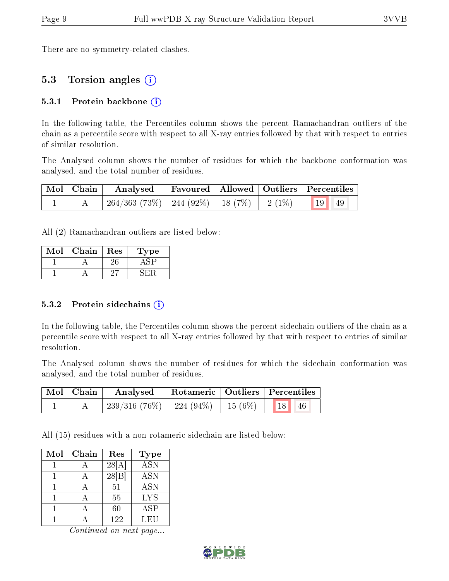There are no symmetry-related clashes.

### 5.3 Torsion angles (i)

#### 5.3.1 Protein backbone  $(i)$

In the following table, the Percentiles column shows the percent Ramachandran outliers of the chain as a percentile score with respect to all X-ray entries followed by that with respect to entries of similar resolution.

The Analysed column shows the number of residues for which the backbone conformation was analysed, and the total number of residues.

| Mol   Chain | Analysed                                                |  | Favoured   Allowed   Outliers   Percentiles |
|-------------|---------------------------------------------------------|--|---------------------------------------------|
|             | $264/363$ (73\%)   244 (92\%)   18 (7\%)   2 (1\%)   19 |  | 49                                          |

All (2) Ramachandran outliers are listed below:

| Mol | Chain | Res | 1'ype |
|-----|-------|-----|-------|
|     |       |     |       |
|     |       |     |       |

#### 5.3.2 Protein sidechains  $(i)$

In the following table, the Percentiles column shows the percent sidechain outliers of the chain as a percentile score with respect to all X-ray entries followed by that with respect to entries of similar resolution.

The Analysed column shows the number of residues for which the sidechain conformation was analysed, and the total number of residues.

| Mol   Chain | Analysed                                           |  | Rotameric   Outliers   Percentiles |  |
|-------------|----------------------------------------------------|--|------------------------------------|--|
|             | $239/316$ (76\%)   224 (94\%)   15 (6\%)   18   46 |  |                                    |  |

All (15) residues with a non-rotameric sidechain are listed below:

| Mol | Chain | Res   | <b>Type</b> |
|-----|-------|-------|-------------|
|     |       | 28[A] | <b>ASN</b>  |
|     |       | 28 B  | ASN         |
|     |       | 51    | <b>ASN</b>  |
|     |       | 55    | <b>LYS</b>  |
|     |       | 60    | ASP         |
|     |       | 122   | LEU         |

Continued on next page...

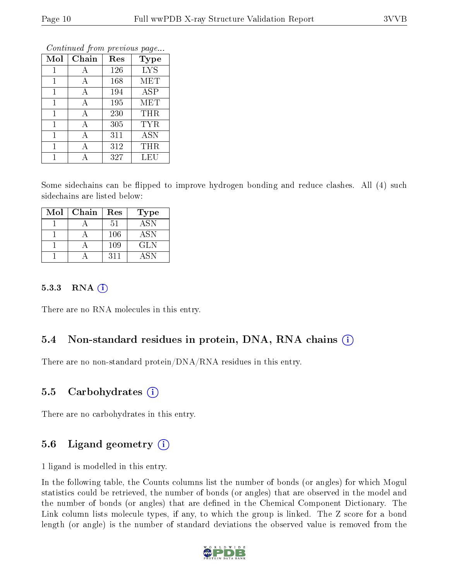|              | Contentaca from previous page |     |             |  |  |  |  |  |
|--------------|-------------------------------|-----|-------------|--|--|--|--|--|
| Mol          | Chain                         | Res | <b>Type</b> |  |  |  |  |  |
| 1            | А                             | 126 | <b>LYS</b>  |  |  |  |  |  |
| 1            | А                             | 168 | <b>MET</b>  |  |  |  |  |  |
| $\mathbf{1}$ | А                             | 194 | <b>ASP</b>  |  |  |  |  |  |
| 1            | А                             | 195 | MET         |  |  |  |  |  |
| $\mathbf{1}$ | А                             | 230 | THR         |  |  |  |  |  |
| 1            | А                             | 305 | TYR         |  |  |  |  |  |
| 1            | А                             | 311 | <b>ASN</b>  |  |  |  |  |  |
| 1            |                               | 312 | THR         |  |  |  |  |  |
|              |                               | 327 | LEU         |  |  |  |  |  |

Continued from previous page.

Some sidechains can be flipped to improve hydrogen bonding and reduce clashes. All (4) such sidechains are listed below:

| Mol | Chain | Res | <b>Type</b>             |
|-----|-------|-----|-------------------------|
|     |       | 51  | $\overline{\text{ASN}}$ |
|     |       | 106 | <b>ASN</b>              |
|     |       | 109 | <b>GLN</b>              |
|     |       | 311 | A SN                    |

#### 5.3.3 RNA  $(i)$

There are no RNA molecules in this entry.

### 5.4 Non-standard residues in protein, DNA, RNA chains  $(i)$

There are no non-standard protein/DNA/RNA residues in this entry.

#### 5.5 Carbohydrates  $(i)$

There are no carbohydrates in this entry.

### 5.6 Ligand geometry  $(i)$

1 ligand is modelled in this entry.

In the following table, the Counts columns list the number of bonds (or angles) for which Mogul statistics could be retrieved, the number of bonds (or angles) that are observed in the model and the number of bonds (or angles) that are defined in the Chemical Component Dictionary. The Link column lists molecule types, if any, to which the group is linked. The Z score for a bond length (or angle) is the number of standard deviations the observed value is removed from the

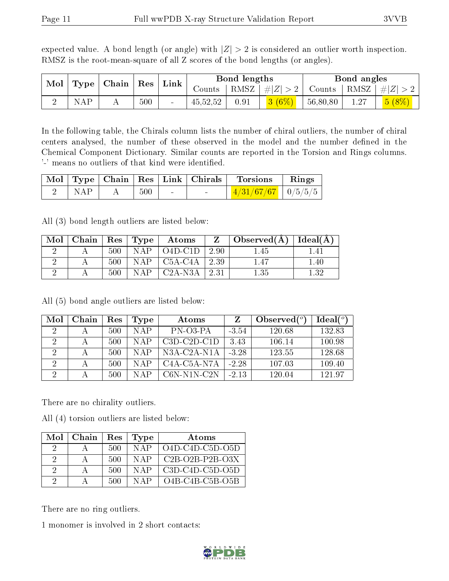expected value. A bond length (or angle) with  $|Z| > 2$  is considered an outlier worth inspection. RMSZ is the root-mean-square of all Z scores of the bond lengths (or angles).

|     | $_+$ Mol $\mid$ Type $\mid$ Chain $\mid$ Res $\mid$ Link $^+$ |     |          | Bond lengths |                     |          | Bond angles |                                                        |
|-----|---------------------------------------------------------------|-----|----------|--------------|---------------------|----------|-------------|--------------------------------------------------------|
|     |                                                               |     | Counts   |              | RMSZ $  \#  Z  > 2$ |          |             | $\vert$ Counts $\vert$ RMSZ $\vert \#  Z  > 2$ $\vert$ |
| NAP |                                                               | 500 | 45,52,52 | 0.91         | 3(6%)               | 56,80,80 | 1.27        | 5(8%)                                                  |

In the following table, the Chirals column lists the number of chiral outliers, the number of chiral centers analysed, the number of these observed in the model and the number defined in the Chemical Component Dictionary. Similar counts are reported in the Torsion and Rings columns. '-' means no outliers of that kind were identified.

|                  |     |                 |        | Mol Type   Chain   Res   Link   Chirals   Torsions   Rings |  |
|------------------|-----|-----------------|--------|------------------------------------------------------------|--|
| $\mathbf{I}$ NAP | 500 | <b>Contract</b> | $\sim$ | $\mid$ 4/31/67/67 $\mid$ 0/5/5/5 $\mid$                    |  |

All (3) bond length outliers are listed below:

| Mol | Chain   $\text{Res}$   $\text{Type}$ |     |       | $\boldsymbol{\mathrm{Atoms}}$ |      | Observed(A) | Ideal $(A)$ |
|-----|--------------------------------------|-----|-------|-------------------------------|------|-------------|-------------|
|     |                                      | 500 | NAP   | $O4D-C1D$                     | 2.90 | l.45        |             |
|     |                                      | 500 | N A P | $C5A-C4A$                     | 2.39 | 1.47        | 1.40        |
|     |                                      | 500 | N A P | $C2A-N3A$                     | 2.31 | 1.35        | 139         |

All (5) bond angle outliers are listed below:

| Mol | Chain | Res | 'Type | Atoms                                              |         | Observed $\binom{o}{c}$ | $\text{Ideal}({}^o)$ |
|-----|-------|-----|-------|----------------------------------------------------|---------|-------------------------|----------------------|
| 2   |       | 500 | NAP   | PN-03-PA                                           | $-3.54$ | 120.68                  | 132.83               |
| 2   |       | 500 | N A P | $C3D-C2D-C1D$                                      | 3.43    | 106.14                  | 100.98               |
| 2   |       | 500 | N A P | $N3A-C2A-N1A$                                      | $-3.28$ | 123.55                  | 128.68               |
| റ   |       | 500 | N A P | C <sub>4</sub> A-C <sub>5</sub> A-N <sub>7</sub> A | $-2.28$ | 107.03                  | 109.40               |
| ച   |       | 500 | NAP   | $C6N-N1N-C2N$                                      | $-2.13$ | 120.04                  | 12197                |

There are no chirality outliers.

All (4) torsion outliers are listed below:

| Mol | Chain | Res  | Type  | Atoms             |
|-----|-------|------|-------|-------------------|
|     |       | -500 | N A P | $O4D-C4D-C5D-O5D$ |
| 2   |       | 500  | NAP   | $C2B-O2B-P2B-O3X$ |
| 9   |       | 500  | N A P | - C3D-C4D-C5D-O5D |
| ാ   |       | 500  | NAP   | $O4B-C4B-C5B-O5B$ |

There are no ring outliers.

1 monomer is involved in 2 short contacts:

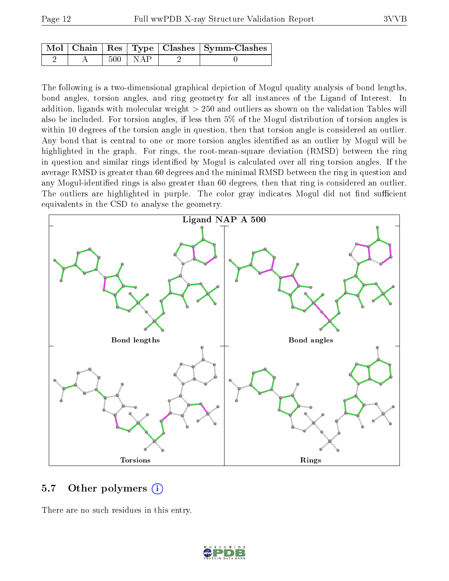|  |             | Mol   Chain   Res   Type   Clashes   Symm-Clashes |
|--|-------------|---------------------------------------------------|
|  | $500 + NAP$ |                                                   |

The following is a two-dimensional graphical depiction of Mogul quality analysis of bond lengths, bond angles, torsion angles, and ring geometry for all instances of the Ligand of Interest. In addition, ligands with molecular weight > 250 and outliers as shown on the validation Tables will also be included. For torsion angles, if less then 5% of the Mogul distribution of torsion angles is within 10 degrees of the torsion angle in question, then that torsion angle is considered an outlier. Any bond that is central to one or more torsion angles identified as an outlier by Mogul will be highlighted in the graph. For rings, the root-mean-square deviation (RMSD) between the ring in question and similar rings identified by Mogul is calculated over all ring torsion angles. If the average RMSD is greater than 60 degrees and the minimal RMSD between the ring in question and any Mogul-identified rings is also greater than 60 degrees, then that ring is considered an outlier. The outliers are highlighted in purple. The color gray indicates Mogul did not find sufficient equivalents in the CSD to analyse the geometry.



### 5.7 [O](https://www.wwpdb.org/validation/2017/XrayValidationReportHelp#nonstandard_residues_and_ligands)ther polymers (i)

There are no such residues in this entry.

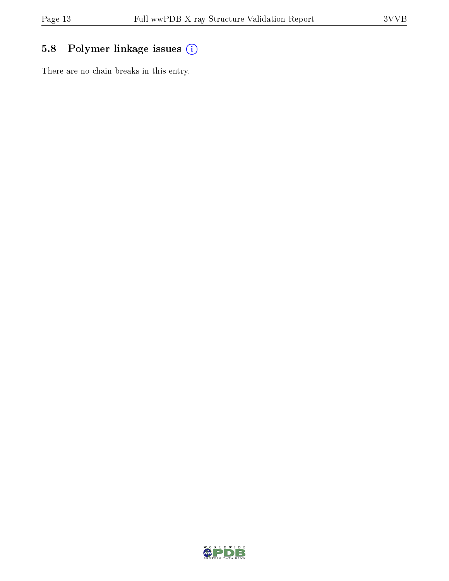### 5.8 Polymer linkage issues (i)

There are no chain breaks in this entry.

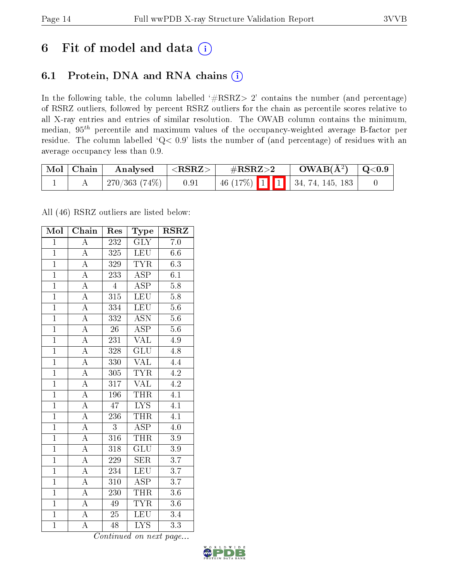## 6 Fit of model and data  $(i)$

### 6.1 Protein, DNA and RNA chains  $(i)$

In the following table, the column labelled  $#RSRZ> 2'$  contains the number (and percentage) of RSRZ outliers, followed by percent RSRZ outliers for the chain as percentile scores relative to all X-ray entries and entries of similar resolution. The OWAB column contains the minimum, median,  $95<sup>th</sup>$  percentile and maximum values of the occupancy-weighted average B-factor per residue. The column labelled ' $Q< 0.9$ ' lists the number of (and percentage) of residues with an average occupancy less than 0.9.

| $\mid$ Mol $\mid$ Chain | Analysed      | $ \langle \mathrm{RSRZ} \rangle $ | $\rm \#RSRZ{>}2$                     | $OWAB(A^2)$ $ $ Q<0.9 |  |
|-------------------------|---------------|-----------------------------------|--------------------------------------|-----------------------|--|
|                         | 270/363 (74%) | 0.91                              | $\mid$ 46 (17%) 1 1 34, 74, 145, 183 |                       |  |

All (46) RSRZ outliers are listed below:

| Mol            | Chain              | Res              | Type                      | $RS\overline{R}\overline{Z}$ |
|----------------|--------------------|------------------|---------------------------|------------------------------|
| $\mathbf{1}$   | $\overline{\rm A}$ | 232              | GLY                       | 7.0                          |
| $\mathbf{1}$   | $\overline{\rm A}$ | 325              | <b>LEU</b>                | $6.6\,$                      |
| $\overline{1}$ | $\overline{\rm A}$ | 329              | <b>TYR</b>                | 6.3                          |
| $\overline{1}$ | $\overline{\rm A}$ | 233              | $\overline{\rm ASP}$      | 6.1                          |
| $\overline{1}$ | $\overline{A}$     | $\overline{4}$   | $\overline{\text{ASP}}$   | $\overline{5.8}$             |
| $\overline{1}$ | $\overline{\rm A}$ | $\overline{315}$ | $\overline{\text{LEU}}$   | $\overline{5.8}$             |
| $\overline{1}$ | $\overline{A}$     | 334              | <b>LEU</b>                | 5.6                          |
| $\overline{1}$ | $\overline{\rm A}$ | 332              | $\overline{\mathrm{ASN}}$ | $\overline{5.6}$             |
| $\overline{1}$ | $\overline{\rm A}$ | $\overline{26}$  | $\overline{\rm ASP}$      | $\overline{5.6}$             |
| $\overline{1}$ | $\overline{A}$     | 231              | $\overline{\text{VAL}}$   | 4.9                          |
| $\overline{1}$ | $\overline{\rm A}$ | 328              | $\overline{{\rm GLU}}$    | 4.8                          |
| $\overline{1}$ | $\overline{\rm A}$ | 330              | <b>VAL</b>                | 4.4                          |
| $\overline{1}$ | $\overline{\rm A}$ | 305              | <b>TYR</b>                | 4.2                          |
| $\mathbf{1}$   | $\overline{\rm A}$ | 317              | <b>VAL</b>                | 4.2                          |
| $\overline{1}$ | $\overline{A}$     | 196              | <b>THR</b>                | 4.1                          |
| $\overline{1}$ | $\overline{\rm A}$ | 47               | <b>LYS</b>                | 4.1                          |
| $\overline{1}$ | $\overline{\rm A}$ | 236              | <b>THR</b>                | $\overline{4.1}$             |
| $\overline{1}$ | $\overline{\rm A}$ | 3                | <b>ASP</b>                | 4.0                          |
| $\mathbf{1}$   | $\overline{A}$     | 316              | <b>THR</b>                | $3.9\,$                      |
| $\overline{1}$ | $\overline{\rm A}$ | 318              | GLU                       | 3.9                          |
| $\overline{1}$ | $\overline{\rm A}$ | 229              | <b>SER</b>                | $\overline{3.7}$             |
| $\overline{1}$ | $\overline{\rm A}$ | 234              | <b>LEU</b>                | $\overline{3.7}$             |
| $\overline{1}$ | $\boldsymbol{A}$   | 310              | <b>ASP</b>                | 3.7                          |
| $\overline{1}$ | $\overline{A}$     | 230              | <b>THR</b>                | $\overline{3.6}$             |
| $\overline{1}$ | $\overline{\rm A}$ | 49               | <b>TYR</b>                | $\overline{3.6}$             |
| $\overline{1}$ | A                  | 25               | $\overline{\text{LEU}}$   | 3.4                          |
| $\overline{1}$ | $\overline{\rm A}$ | $\overline{48}$  | $\overline{\text{LYS}}$   | $\overline{3.3}$             |

Continued on next page...

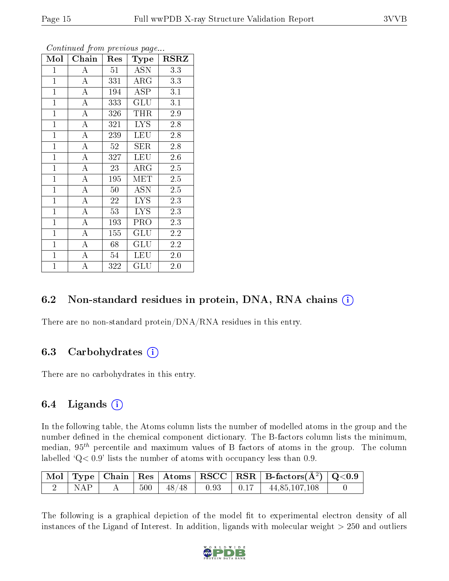| Mol            | Chain              | Res    | Type       | <b>RSRZ</b>      |
|----------------|--------------------|--------|------------|------------------|
| $\mathbf{1}$   | A                  | 51     | <b>ASN</b> | 3.3              |
| $\overline{1}$ | $\boldsymbol{A}$   | 331    | $\rm{ARG}$ | 3.3              |
| $\mathbf{1}$   | $\overline{\rm A}$ | 194    | <b>ASP</b> | 3.1              |
| $\mathbf{1}$   | A                  | 333    | GLU        | 3.1              |
| $\overline{1}$ | $\overline{\rm A}$ | 326    | THR        | $2.9\,$          |
| $\mathbf{1}$   | $\boldsymbol{A}$   | 321    | LYS.       | 2.8              |
| $\overline{1}$ | $\boldsymbol{A}$   | 239    | <b>LEU</b> | 2.8              |
| $\mathbf{1}$   | $\overline{\rm A}$ | 52     | SER        | 2.8              |
| $\overline{1}$ | $\boldsymbol{A}$   | 327    | <b>LEU</b> | 2.6              |
| $\mathbf{1}$   | $\overline{\rm A}$ | 23     | $\rm{ARG}$ | $2.5\,$          |
| $\mathbf{1}$   | A                  | 195    | <b>MET</b> | 2.5              |
| $\mathbf{1}$   | A                  | $50\,$ | <b>ASN</b> | $2.5\,$          |
| $\mathbf{1}$   | $\boldsymbol{A}$   | 22     | <b>LYS</b> | 2.3              |
| $\overline{1}$ | A                  | 53     | <b>LYS</b> | 2.3              |
| $\mathbf{1}$   | $\overline{\rm A}$ | 193    | PRO        | 2.3              |
| $\mathbf{1}$   | A                  | 155    | GLU        | 2.2              |
| $\mathbf{1}$   | $\overline{\rm A}$ | 68     | GLU        | $2.\overline{2}$ |
| $\mathbf{1}$   | A                  | 54     | LEU        | 2.0              |
| $\mathbf{1}$   | A                  | 322    | GLU        | 2.0              |

Continued from previous page...

### 6.2 Non-standard residues in protein, DNA, RNA chains (i)

There are no non-standard protein/DNA/RNA residues in this entry.

### 6.3 Carbohydrates (i)

There are no carbohydrates in this entry.

### 6.4 Ligands  $(i)$

In the following table, the Atoms column lists the number of modelled atoms in the group and the number defined in the chemical component dictionary. The B-factors column lists the minimum, median,  $95<sup>th</sup>$  percentile and maximum values of B factors of atoms in the group. The column labelled  $Q< 0.9$ ' lists the number of atoms with occupancy less than 0.9.

| ∟ NAP - |  |  | $\vert$ 500 $\vert$ 48/48 $\vert$ 0.93 $\vert$ 0.17 $\vert$ 44,85,107,108 |  |
|---------|--|--|---------------------------------------------------------------------------|--|

The following is a graphical depiction of the model fit to experimental electron density of all instances of the Ligand of Interest. In addition, ligands with molecular weight  $> 250$  and outliers